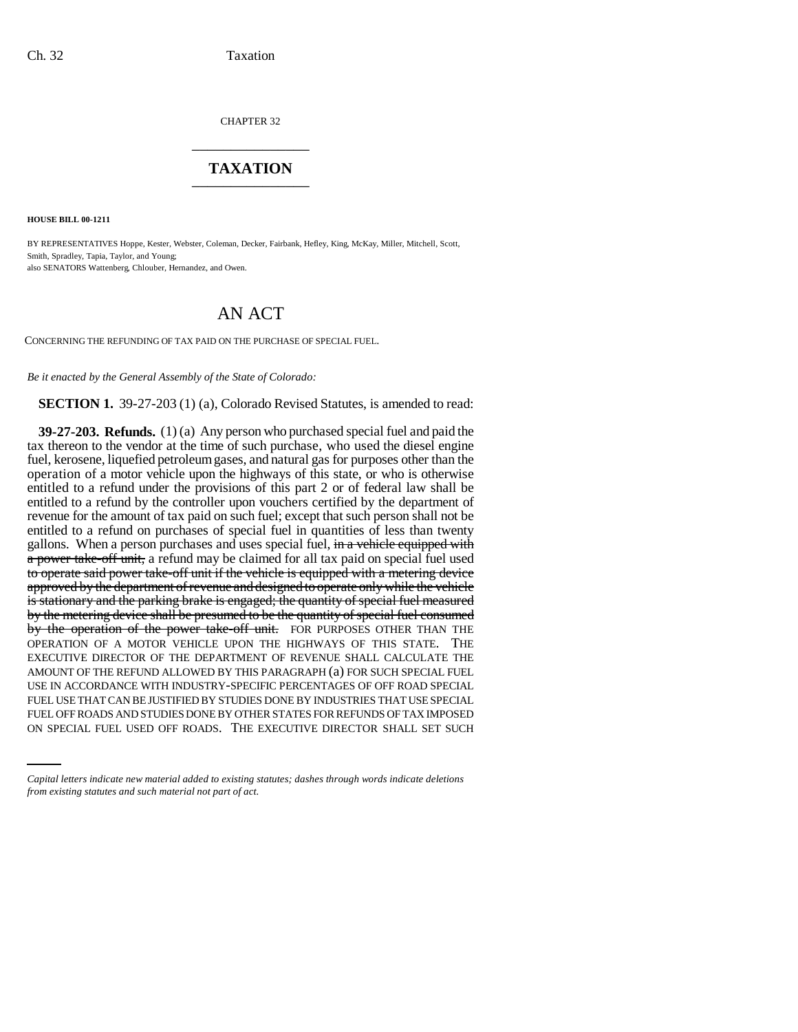CHAPTER 32 \_\_\_\_\_\_\_\_\_\_\_\_\_\_\_

## **TAXATION** \_\_\_\_\_\_\_\_\_\_\_\_\_\_\_

**HOUSE BILL 00-1211** 

BY REPRESENTATIVES Hoppe, Kester, Webster, Coleman, Decker, Fairbank, Hefley, King, McKay, Miller, Mitchell, Scott, Smith, Spradley, Tapia, Taylor, and Young; also SENATORS Wattenberg, Chlouber, Hernandez, and Owen.

## AN ACT

CONCERNING THE REFUNDING OF TAX PAID ON THE PURCHASE OF SPECIAL FUEL.

*Be it enacted by the General Assembly of the State of Colorado:*

**SECTION 1.** 39-27-203 (1) (a), Colorado Revised Statutes, is amended to read:

FUEL USE THAT CAN BE JUSTIFIED BY STUDIES DONE BY INDUSTRIES THAT USE SPECIAL **39-27-203. Refunds.** (1) (a) Any person who purchased special fuel and paid the tax thereon to the vendor at the time of such purchase, who used the diesel engine fuel, kerosene, liquefied petroleum gases, and natural gas for purposes other than the operation of a motor vehicle upon the highways of this state, or who is otherwise entitled to a refund under the provisions of this part 2 or of federal law shall be entitled to a refund by the controller upon vouchers certified by the department of revenue for the amount of tax paid on such fuel; except that such person shall not be entitled to a refund on purchases of special fuel in quantities of less than twenty gallons. When a person purchases and uses special fuel, in a vehicle equipped with a power take-off unit, a refund may be claimed for all tax paid on special fuel used to operate said power take-off unit if the vehicle is equipped with a metering device approved by the department of revenue and designed to operate only while the vehicle is stationary and the parking brake is engaged; the quantity of special fuel measured by the metering device shall be presumed to be the quantity of special fuel consumed by the operation of the power take-off unit. FOR PURPOSES OTHER THAN THE OPERATION OF A MOTOR VEHICLE UPON THE HIGHWAYS OF THIS STATE. THE EXECUTIVE DIRECTOR OF THE DEPARTMENT OF REVENUE SHALL CALCULATE THE AMOUNT OF THE REFUND ALLOWED BY THIS PARAGRAPH (a) FOR SUCH SPECIAL FUEL USE IN ACCORDANCE WITH INDUSTRY-SPECIFIC PERCENTAGES OF OFF ROAD SPECIAL FUEL OFF ROADS AND STUDIES DONE BY OTHER STATES FOR REFUNDS OF TAX IMPOSED ON SPECIAL FUEL USED OFF ROADS. THE EXECUTIVE DIRECTOR SHALL SET SUCH

*Capital letters indicate new material added to existing statutes; dashes through words indicate deletions from existing statutes and such material not part of act.*